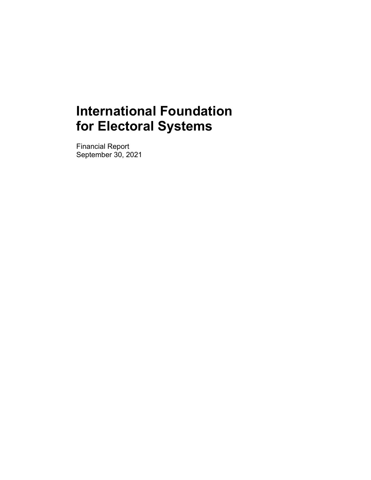Financial Report September 30, 2021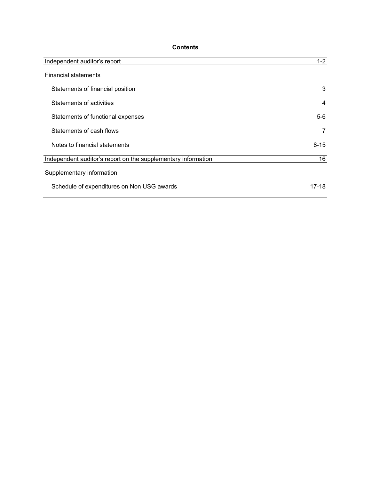# **Contents**

| Independent auditor's report                                  | $1 - 2$        |
|---------------------------------------------------------------|----------------|
| <b>Financial statements</b>                                   |                |
| Statements of financial position                              | 3              |
| Statements of activities                                      | 4              |
| Statements of functional expenses                             | 5-6            |
| Statements of cash flows                                      | $\overline{7}$ |
| Notes to financial statements                                 | $8 - 15$       |
| Independent auditor's report on the supplementary information | 16             |
| Supplementary information                                     |                |
| Schedule of expenditures on Non USG awards                    | $17 - 18$      |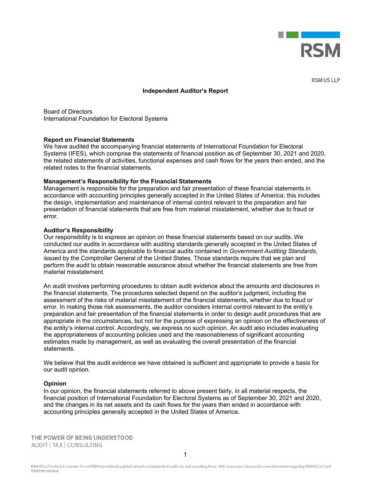

**RSM US LLP** 

#### **Independent Auditor's Report**

Board of Directors International Foundation for Electoral Systems

#### **Report on Financial Statements**

We have audited the accompanying financial statements of International Foundation for Electoral Systems (IFES), which comprise the statements of financial position as of September 30, 2021 and 2020, the related statements of activities, functional expenses and cash flows for the years then ended, and the related notes to the financial statements.

#### **Management's Responsibility for the Financial Statements**

Management is responsible for the preparation and fair presentation of these financial statements in accordance with accounting principles generally accepted in the United States of America; this includes the design, implementation and maintenance of internal control relevant to the preparation and fair presentation of financial statements that are free from material misstatement, whether due to fraud or error.

#### **Auditor's Responsibility**

Our responsibility is to express an opinion on these financial statements based on our audits. We conducted our audits in accordance with auditing standards generally accepted in the United States of America and the standards applicable to financial audits contained in *Government Auditing Standards*, issued by the Comptroller General of the United States. Those standards require that we plan and perform the audit to obtain reasonable assurance about whether the financial statements are free from material misstatement.

An audit involves performing procedures to obtain audit evidence about the amounts and disclosures in the financial statements. The procedures selected depend on the auditor's judgment, including the assessment of the risks of material misstatement of the financial statements, whether due to fraud or error. In making those risk assessments, the auditor considers internal control relevant to the entity's preparation and fair presentation of the financial statements in order to design audit procedures that are appropriate in the circumstances, but not for the purpose of expressing an opinion on the effectiveness of the entity's internal control. Accordingly, we express no such opinion. An audit also includes evaluating the appropriateness of accounting policies used and the reasonableness of significant accounting estimates made by management, as well as evaluating the overall presentation of the financial statements.

We believe that the audit evidence we have obtained is sufficient and appropriate to provide a basis for our audit opinion.

#### **Opinion**

In our opinion, the financial statements referred to above present fairly, in all material respects, the financial position of International Foundation for Electoral Systems as of September 30, 2021 and 2020, and the changes in its net assets and its cash flows for the years then ended in accordance with accounting principles generally accepted in the United States of America.

THE POWER OF BEING UNDERSTOOD AUDIT | TAX | CONSULTING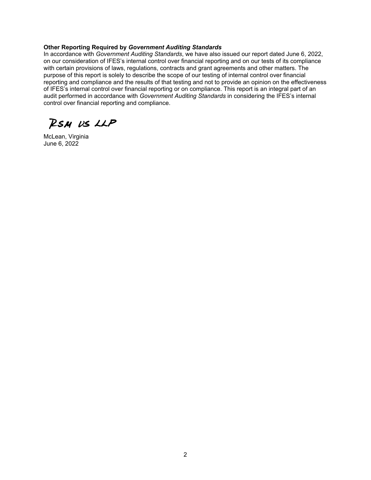#### **Other Reporting Required by** *Government Auditing Standards*

In accordance with *Government Auditing Standards*, we have also issued our report dated June 6, 2022, on our consideration of IFES's internal control over financial reporting and on our tests of its compliance with certain provisions of laws, regulations, contracts and grant agreements and other matters. The purpose of this report is solely to describe the scope of our testing of internal control over financial reporting and compliance and the results of that testing and not to provide an opinion on the effectiveness of IFES's internal control over financial reporting or on compliance. This report is an integral part of an audit performed in accordance with *Government Auditing Standards* in considering the IFES's internal control over financial reporting and compliance.

RSM US LLP

McLean, Virginia June 6, 2022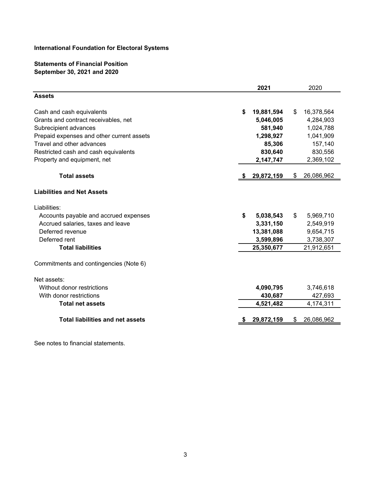# **Statements of Financial Position September 30, 2021 and 2020**

|                                           | 2021             |    | 2020       |
|-------------------------------------------|------------------|----|------------|
| <b>Assets</b>                             |                  |    |            |
| Cash and cash equivalents                 | \$<br>19,881,594 | \$ | 16,378,564 |
| Grants and contract receivables, net      | 5,046,005        |    | 4,284,903  |
| Subrecipient advances                     | 581,940          |    | 1,024,788  |
| Prepaid expenses and other current assets | 1,298,927        |    | 1,041,909  |
| Travel and other advances                 | 85,306           |    | 157,140    |
| Restricted cash and cash equivalents      | 830,640          |    | 830,556    |
| Property and equipment, net               | 2,147,747        |    | 2,369,102  |
| <b>Total assets</b>                       | 29,872,159       | S  | 26,086,962 |
| <b>Liabilities and Net Assets</b>         |                  |    |            |
| Liabilities:                              |                  |    |            |
| Accounts payable and accrued expenses     | \$<br>5,038,543  | \$ | 5,969,710  |
| Accrued salaries, taxes and leave         | 3,331,150        |    | 2,549,919  |
| Deferred revenue                          | 13,381,088       |    | 9,654,715  |
| Deferred rent                             | 3,599,896        |    | 3,738,307  |
| <b>Total liabilities</b>                  | 25,350,677       |    | 21,912,651 |
| Commitments and contingencies (Note 6)    |                  |    |            |
| Net assets:                               |                  |    |            |
| Without donor restrictions                | 4,090,795        |    | 3,746,618  |
| With donor restrictions                   | 430,687          |    | 427,693    |
| <b>Total net assets</b>                   | 4,521,482        |    | 4,174,311  |
| <b>Total liabilities and net assets</b>   | 29,872,159       | S  | 26,086,962 |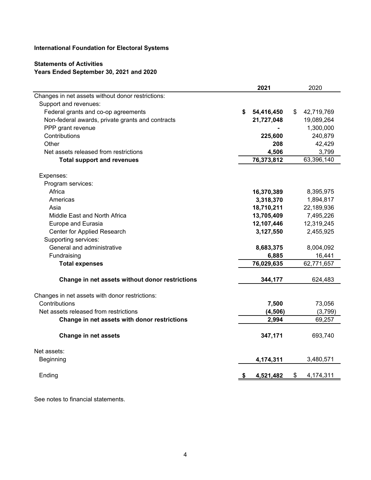# **Statements of Activities Years Ended September 30, 2021 and 2020**

| Changes in net assets without donor restrictions:<br>Support and revenues:<br>Federal grants and co-op agreements<br>54,416,450<br>$\boldsymbol{\mathsf{s}}$<br>42,719,769<br>\$<br>Non-federal awards, private grants and contracts<br>21,727,048<br>19,089,264<br>PPP grant revenue<br>1,300,000<br>Contributions<br>225,600<br>240,879<br>Other<br>208<br>42,429<br>Net assets released from restrictions<br>3,799<br>4,506<br>63,396,140<br>76,373,812<br><b>Total support and revenues</b><br>Expenses:<br>Program services:<br>Africa<br>8,395,975<br>16,370,389<br>Americas<br>3,318,370<br>1,894,817<br>Asia<br>18,710,211<br>22,189,936<br>Middle East and North Africa<br>7,495,226<br>13,705,409<br>12,107,446<br>Europe and Eurasia<br>12,319,245<br>Center for Applied Research<br>3,127,550<br>2,455,925<br>Supporting services:<br>General and administrative<br>8,683,375<br>8,004,092<br>16,441<br>Fundraising<br>6,885<br>76,029,635<br>62,771,657<br><b>Total expenses</b><br>Change in net assets without donor restrictions<br>344,177<br>624,483<br>Changes in net assets with donor restrictions:<br>Contributions<br>7,500<br>73,056<br>Net assets released from restrictions<br>(4, 506)<br>(3,799)<br>69,257<br>2,994<br>Change in net assets with donor restrictions<br><b>Change in net assets</b><br>347,171<br>693,740<br>Net assets:<br>Beginning<br>4,174,311<br>3,480,571<br>Ending<br>\$<br>4,174,311<br>4,521,482 |  | 2021 | 2020 |
|------------------------------------------------------------------------------------------------------------------------------------------------------------------------------------------------------------------------------------------------------------------------------------------------------------------------------------------------------------------------------------------------------------------------------------------------------------------------------------------------------------------------------------------------------------------------------------------------------------------------------------------------------------------------------------------------------------------------------------------------------------------------------------------------------------------------------------------------------------------------------------------------------------------------------------------------------------------------------------------------------------------------------------------------------------------------------------------------------------------------------------------------------------------------------------------------------------------------------------------------------------------------------------------------------------------------------------------------------------------------------------------------------------------------------------------------------|--|------|------|
|                                                                                                                                                                                                                                                                                                                                                                                                                                                                                                                                                                                                                                                                                                                                                                                                                                                                                                                                                                                                                                                                                                                                                                                                                                                                                                                                                                                                                                                      |  |      |      |
|                                                                                                                                                                                                                                                                                                                                                                                                                                                                                                                                                                                                                                                                                                                                                                                                                                                                                                                                                                                                                                                                                                                                                                                                                                                                                                                                                                                                                                                      |  |      |      |
|                                                                                                                                                                                                                                                                                                                                                                                                                                                                                                                                                                                                                                                                                                                                                                                                                                                                                                                                                                                                                                                                                                                                                                                                                                                                                                                                                                                                                                                      |  |      |      |
|                                                                                                                                                                                                                                                                                                                                                                                                                                                                                                                                                                                                                                                                                                                                                                                                                                                                                                                                                                                                                                                                                                                                                                                                                                                                                                                                                                                                                                                      |  |      |      |
|                                                                                                                                                                                                                                                                                                                                                                                                                                                                                                                                                                                                                                                                                                                                                                                                                                                                                                                                                                                                                                                                                                                                                                                                                                                                                                                                                                                                                                                      |  |      |      |
|                                                                                                                                                                                                                                                                                                                                                                                                                                                                                                                                                                                                                                                                                                                                                                                                                                                                                                                                                                                                                                                                                                                                                                                                                                                                                                                                                                                                                                                      |  |      |      |
|                                                                                                                                                                                                                                                                                                                                                                                                                                                                                                                                                                                                                                                                                                                                                                                                                                                                                                                                                                                                                                                                                                                                                                                                                                                                                                                                                                                                                                                      |  |      |      |
|                                                                                                                                                                                                                                                                                                                                                                                                                                                                                                                                                                                                                                                                                                                                                                                                                                                                                                                                                                                                                                                                                                                                                                                                                                                                                                                                                                                                                                                      |  |      |      |
|                                                                                                                                                                                                                                                                                                                                                                                                                                                                                                                                                                                                                                                                                                                                                                                                                                                                                                                                                                                                                                                                                                                                                                                                                                                                                                                                                                                                                                                      |  |      |      |
|                                                                                                                                                                                                                                                                                                                                                                                                                                                                                                                                                                                                                                                                                                                                                                                                                                                                                                                                                                                                                                                                                                                                                                                                                                                                                                                                                                                                                                                      |  |      |      |
|                                                                                                                                                                                                                                                                                                                                                                                                                                                                                                                                                                                                                                                                                                                                                                                                                                                                                                                                                                                                                                                                                                                                                                                                                                                                                                                                                                                                                                                      |  |      |      |
|                                                                                                                                                                                                                                                                                                                                                                                                                                                                                                                                                                                                                                                                                                                                                                                                                                                                                                                                                                                                                                                                                                                                                                                                                                                                                                                                                                                                                                                      |  |      |      |
|                                                                                                                                                                                                                                                                                                                                                                                                                                                                                                                                                                                                                                                                                                                                                                                                                                                                                                                                                                                                                                                                                                                                                                                                                                                                                                                                                                                                                                                      |  |      |      |
|                                                                                                                                                                                                                                                                                                                                                                                                                                                                                                                                                                                                                                                                                                                                                                                                                                                                                                                                                                                                                                                                                                                                                                                                                                                                                                                                                                                                                                                      |  |      |      |
|                                                                                                                                                                                                                                                                                                                                                                                                                                                                                                                                                                                                                                                                                                                                                                                                                                                                                                                                                                                                                                                                                                                                                                                                                                                                                                                                                                                                                                                      |  |      |      |
|                                                                                                                                                                                                                                                                                                                                                                                                                                                                                                                                                                                                                                                                                                                                                                                                                                                                                                                                                                                                                                                                                                                                                                                                                                                                                                                                                                                                                                                      |  |      |      |
|                                                                                                                                                                                                                                                                                                                                                                                                                                                                                                                                                                                                                                                                                                                                                                                                                                                                                                                                                                                                                                                                                                                                                                                                                                                                                                                                                                                                                                                      |  |      |      |
|                                                                                                                                                                                                                                                                                                                                                                                                                                                                                                                                                                                                                                                                                                                                                                                                                                                                                                                                                                                                                                                                                                                                                                                                                                                                                                                                                                                                                                                      |  |      |      |
|                                                                                                                                                                                                                                                                                                                                                                                                                                                                                                                                                                                                                                                                                                                                                                                                                                                                                                                                                                                                                                                                                                                                                                                                                                                                                                                                                                                                                                                      |  |      |      |
|                                                                                                                                                                                                                                                                                                                                                                                                                                                                                                                                                                                                                                                                                                                                                                                                                                                                                                                                                                                                                                                                                                                                                                                                                                                                                                                                                                                                                                                      |  |      |      |
|                                                                                                                                                                                                                                                                                                                                                                                                                                                                                                                                                                                                                                                                                                                                                                                                                                                                                                                                                                                                                                                                                                                                                                                                                                                                                                                                                                                                                                                      |  |      |      |
|                                                                                                                                                                                                                                                                                                                                                                                                                                                                                                                                                                                                                                                                                                                                                                                                                                                                                                                                                                                                                                                                                                                                                                                                                                                                                                                                                                                                                                                      |  |      |      |
|                                                                                                                                                                                                                                                                                                                                                                                                                                                                                                                                                                                                                                                                                                                                                                                                                                                                                                                                                                                                                                                                                                                                                                                                                                                                                                                                                                                                                                                      |  |      |      |
|                                                                                                                                                                                                                                                                                                                                                                                                                                                                                                                                                                                                                                                                                                                                                                                                                                                                                                                                                                                                                                                                                                                                                                                                                                                                                                                                                                                                                                                      |  |      |      |
|                                                                                                                                                                                                                                                                                                                                                                                                                                                                                                                                                                                                                                                                                                                                                                                                                                                                                                                                                                                                                                                                                                                                                                                                                                                                                                                                                                                                                                                      |  |      |      |
|                                                                                                                                                                                                                                                                                                                                                                                                                                                                                                                                                                                                                                                                                                                                                                                                                                                                                                                                                                                                                                                                                                                                                                                                                                                                                                                                                                                                                                                      |  |      |      |
|                                                                                                                                                                                                                                                                                                                                                                                                                                                                                                                                                                                                                                                                                                                                                                                                                                                                                                                                                                                                                                                                                                                                                                                                                                                                                                                                                                                                                                                      |  |      |      |
|                                                                                                                                                                                                                                                                                                                                                                                                                                                                                                                                                                                                                                                                                                                                                                                                                                                                                                                                                                                                                                                                                                                                                                                                                                                                                                                                                                                                                                                      |  |      |      |
|                                                                                                                                                                                                                                                                                                                                                                                                                                                                                                                                                                                                                                                                                                                                                                                                                                                                                                                                                                                                                                                                                                                                                                                                                                                                                                                                                                                                                                                      |  |      |      |
|                                                                                                                                                                                                                                                                                                                                                                                                                                                                                                                                                                                                                                                                                                                                                                                                                                                                                                                                                                                                                                                                                                                                                                                                                                                                                                                                                                                                                                                      |  |      |      |
|                                                                                                                                                                                                                                                                                                                                                                                                                                                                                                                                                                                                                                                                                                                                                                                                                                                                                                                                                                                                                                                                                                                                                                                                                                                                                                                                                                                                                                                      |  |      |      |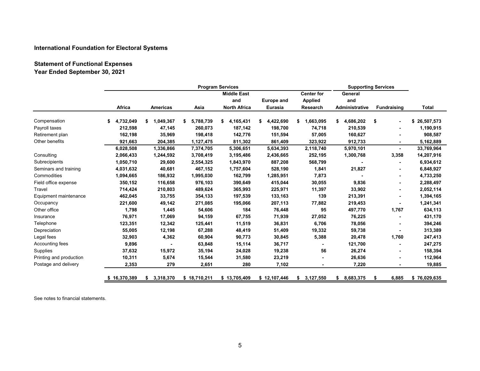# **Statement of Functional Expenses Year Ended September 30, 2021**

|                         | <b>Program Services</b> |                 |                 |                     |                   |                   | <b>Supporting Services</b> |                      |                  |
|-------------------------|-------------------------|-----------------|-----------------|---------------------|-------------------|-------------------|----------------------------|----------------------|------------------|
|                         |                         |                 |                 | <b>Middle East</b>  |                   | <b>Center for</b> | General                    |                      |                  |
|                         |                         |                 |                 | and                 | <b>Europe and</b> | <b>Applied</b>    | and                        |                      |                  |
|                         | Africa                  | <b>Americas</b> | Asia            | <b>North Africa</b> | Eurasia           | Research          | <b>Administrative</b>      | <b>Fundraising</b>   | <b>Total</b>     |
| Compensation            | 4,732,049<br>\$         | 1,049,367<br>\$ | 5,788,739<br>\$ | 4,165,431<br>\$     | 4,422,690<br>\$   | 1,663,095         | 4,686,202<br>\$            | \$<br>$\blacksquare$ | 26,507,573<br>\$ |
| Payroll taxes           | 212,598                 | 47,145          | 260,073         | 187,142             | 198,700           | 74,718            | 210,539                    |                      | 1,190,915        |
| Retirement plan         | 162,198                 | 35,969          | 198,418         | 142,776             | 151,594           | 57,005            | 160,627                    |                      | 908,587          |
| Other benefits          | 921,663                 | 204,385         | 1,127,475       | 811,302             | 861,409           | 323,922           | 912,733                    |                      | 5,162,889        |
|                         | 6,028,508               | 1,336,866       | 7,374,705       | 5,306,651           | 5,634,393         | 2,118,740         | 5,970,101                  | $\blacksquare$       | 33,769,964       |
| Consulting              | 2,066,433               | 1,244,592       | 3,708,419       | 3,195,486           | 2,436,665         | 252,195           | 1,300,768                  | 3,358                | 14,207,916       |
| Subrecipients           | 1,050,710               | 29,600          | 2,554,325       | 1,843,970           | 887,208           | 568,799           |                            |                      | 6,934,612        |
| Seminars and training   | 4,031,632               | 40,681          | 467,152         | 1,757,604           | 528,190           | 1,841             | 21,827                     | $\blacksquare$       | 6,848,927        |
| Commodities             | 1,094,665               | 186,932         | 1,995,030       | 162,799             | 1,285,951         | 7,873             |                            | $\blacksquare$       | 4,733,250        |
| Field office expense    | 350,152                 | 116,658         | 976,103         | 390,649             | 415,044           | 30,055            | 9,836                      | $\blacksquare$       | 2,288,497        |
| Travel                  | 714,424                 | 210,803         | 489,624         | 365,993             | 225,971           | 11,397            | 33,902                     | ٠                    | 2,052,114        |
| Equipment maintenance   | 462,045                 | 33,755          | 354,133         | 197,539             | 133,163           | 139               | 213,391                    | $\blacksquare$       | 1,394,165        |
| Occupancy               | 221,600                 | 49,142          | 271,085         | 195,066             | 207,113           | 77,882            | 219,453                    |                      | 1,241,341        |
| Other office            | 1,798                   | 1,445           | 54,606          | 184                 | 76,448            | 95                | 497,770                    | 1,767                | 634,113          |
| Insurance               | 76,971                  | 17,069          | 94,159          | 67,755              | 71,939            | 27,052            | 76,225                     |                      | 431,170          |
| Telephone               | 123,351                 | 12,342          | 125,441         | 11,519              | 36,831            | 6,706             | 78,056                     |                      | 394,246          |
| Depreciation            | 55,005                  | 12,198          | 67,288          | 48,419              | 51,409            | 19,332            | 59,738                     |                      | 313,389          |
| Legal fees              | 32,903                  | 4,362           | 60,904          | 90,773              | 30,845            | 5,388             | 20,478                     | 1,760                | 247,413          |
| Accounting fees         | 9,896                   |                 | 63,848          | 15,114              | 36,717            |                   | 121,700                    |                      | 247,275          |
| Supplies                | 37,632                  | 15,972          | 35,194          | 24,028              | 19,238            | 56                | 26,274                     |                      | 158,394          |
| Printing and production | 10,311                  | 5,674           | 15,544          | 31,580              | 23,219            |                   | 26,636                     |                      | 112,964          |
| Postage and delivery    | 2,353                   | 279             | 2,651           | 280                 | 7,102             | ۰                 | 7,220                      | $\blacksquare$       | 19,885           |
|                         | \$16,370,389            | 3,318,370<br>\$ | \$18,710,211    | \$13,705,409        | \$12,107,446      | \$3,127,550       | 8,683,375<br>\$            | 6,885<br>\$          | \$76,029,635     |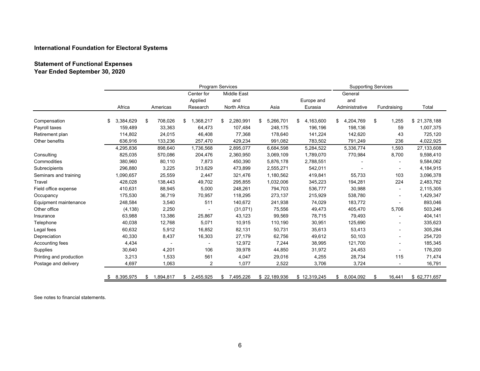# **Statement of Functional Expenses Year Ended September 30, 2020**

|                         | <b>Program Services</b> |    |           |    |            |    | <b>Supporting Services</b> |                 |   |              |    |                |             |                          |              |  |
|-------------------------|-------------------------|----|-----------|----|------------|----|----------------------------|-----------------|---|--------------|----|----------------|-------------|--------------------------|--------------|--|
|                         |                         |    |           |    | Center for |    | <b>Middle East</b>         |                 |   |              |    | General        |             |                          |              |  |
|                         |                         |    |           |    | Applied    |    | and                        |                 |   | Europe and   |    | and            |             |                          |              |  |
|                         | Africa                  |    | Americas  |    | Research   |    | North Africa               | Asia            |   | Eurasia      |    | Administrative | Fundraising |                          | Total        |  |
| Compensation            | \$<br>3,384,629         | \$ | 708,026   | \$ | 1,368,217  | \$ | 2,280,991                  | \$<br>5,266,701 | S | 4,163,600    | \$ | 4,204,769      | \$          | 1,255                    | \$21,378,188 |  |
| Payroll taxes           | 159,489                 |    | 33,363    |    | 64,473     |    | 107,484                    | 248,175         |   | 196,196      |    | 198,136        |             | 59                       | 1,007,375    |  |
| Retirement plan         | 114,802                 |    | 24,015    |    | 46,408     |    | 77,368                     | 178,640         |   | 141,224      |    | 142,620        |             | 43                       | 725,120      |  |
| Other benefits          | 636,916                 |    | 133,236   |    | 257,470    |    | 429,234                    | 991,082         |   | 783,502      |    | 791,249        |             | 236                      | 4,022,925    |  |
|                         | 4,295,836               |    | 898,640   |    | 1,736,568  |    | 2,895,077                  | 6,684,598       |   | 5,284,522    |    | 5,336,774      |             | 1,593                    | 27,133,608   |  |
| Consulting              | 825,035                 |    | 570,086   |    | 204,476    |    | 2,360,950                  | 3,069,109       |   | 1,789,070    |    | 770,984        |             | 8,700                    | 9,598,410    |  |
| Commodities             | 380,960                 |    | 80,110    |    | 7,873      |    | 450,390                    | 5,876,178       |   | 2,788,551    |    |                |             | $\blacksquare$           | 9,584,062    |  |
| Subrecipients           | 296,880                 |    | 3,225     |    | 313,629    |    | 473,899                    | 2,555,271       |   | 542,011      |    |                |             | $\overline{\phantom{a}}$ | 4,184,915    |  |
| Seminars and training   | 1,090,657               |    | 25,559    |    | 2,447      |    | 321,476                    | 1,180,562       |   | 419,841      |    | 55,733         |             | 103                      | 3,096,378    |  |
| Travel                  | 428,028                 |    | 138,443   |    | 49,702     |    | 295,855                    | 1,032,006       |   | 345,223      |    | 194,281        |             | 224                      | 2,483,762    |  |
| Field office expense    | 410,631                 |    | 88,945    |    | 5,000      |    | 248,261                    | 794,703         |   | 536,777      |    | 30,988         |             | $\overline{\phantom{a}}$ | 2,115,305    |  |
| Occupancy               | 175,530                 |    | 36,719    |    | 70,957     |    | 118,295                    | 273,137         |   | 215,929      |    | 538,780        |             | $\overline{\phantom{a}}$ | 1,429,347    |  |
| Equipment maintenance   | 248,584                 |    | 3,540     |    | 511        |    | 140,672                    | 241,938         |   | 74,029       |    | 183,772        |             |                          | 893,046      |  |
| Other office            | (4, 138)                |    | 2,250     |    |            |    | (31,071)                   | 75,556          |   | 49,473       |    | 405,470        |             | 5,706                    | 503,246      |  |
| Insurance               | 63,988                  |    | 13,386    |    | 25,867     |    | 43,123                     | 99,569          |   | 78,715       |    | 79,493         |             |                          | 404,141      |  |
| Telephone               | 40,038                  |    | 12,768    |    | 5,071      |    | 10,915                     | 110,190         |   | 30,951       |    | 125,690        |             |                          | 335,623      |  |
| Legal fees              | 60,632                  |    | 5,912     |    | 16,852     |    | 82,131                     | 50,731          |   | 35,613       |    | 53,413         |             | $\overline{\phantom{a}}$ | 305,284      |  |
| Depreciation            | 40,330                  |    | 8,437     |    | 16,303     |    | 27,179                     | 62,756          |   | 49,612       |    | 50,103         |             | $\blacksquare$           | 254,720      |  |
| Accounting fees         | 4,434                   |    |           |    |            |    | 12,972                     | 7,244           |   | 38,995       |    | 121,700        |             | $\overline{\phantom{a}}$ | 185,345      |  |
| <b>Supplies</b>         | 30,640                  |    | 4,201     |    | 106        |    | 39,978                     | 44,850          |   | 31,972       |    | 24,453         |             | $\overline{\phantom{a}}$ | 176,200      |  |
| Printing and production | 3,213                   |    | 1,533     |    | 561        |    | 4,047                      | 29,016          |   | 4,255        |    | 28,734         |             | 115                      | 71,474       |  |
| Postage and delivery    | 4.697                   |    | 1,063     |    | 2          |    | 1,077                      | 2,522           |   | 3,706        |    | 3,724          |             | $\sim$                   | 16,791       |  |
|                         | \$<br>8,395,975         | \$ | 1,894,817 | \$ | 2,455,925  |    | \$ 7,495,226               | \$22,189,936    |   | \$12,319,245 |    | \$8,004,092    | \$          | 16,441                   | \$62,771,657 |  |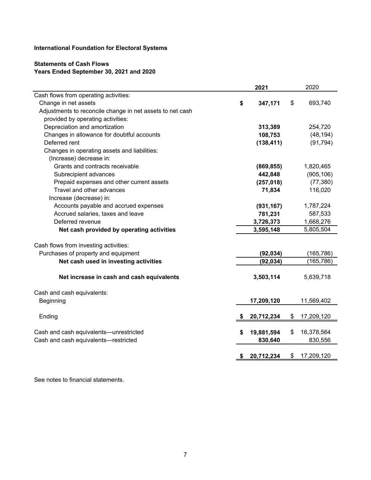# **Statements of Cash Flows Years Ended September 30, 2021 and 2020**

|                                                           |    | 2021       | 2020             |
|-----------------------------------------------------------|----|------------|------------------|
| Cash flows from operating activities:                     |    |            |                  |
| Change in net assets                                      | \$ | 347,171    | \$<br>693,740    |
| Adjustments to reconcile change in net assets to net cash |    |            |                  |
| provided by operating activities:                         |    |            |                  |
| Depreciation and amortization                             |    | 313,389    | 254,720          |
| Changes in allowance for doubtful accounts                |    | 108,753    | (48, 194)        |
| Deferred rent                                             |    | (138, 411) | (91, 794)        |
| Changes in operating assets and liabilities:              |    |            |                  |
| (Increase) decrease in:                                   |    |            |                  |
| Grants and contracts receivable                           |    | (869, 855) | 1,820,465        |
| Subrecipient advances                                     |    | 442,848    | (905, 106)       |
| Prepaid expenses and other current assets                 |    | (257, 018) | (77, 380)        |
| Travel and other advances                                 |    | 71,834     | 116,020          |
| Increase (decrease) in:                                   |    |            |                  |
| Accounts payable and accrued expenses                     |    | (931, 167) | 1,787,224        |
| Accrued salaries, taxes and leave                         |    | 781,231    | 587,533          |
| Deferred revenue                                          |    | 3,726,373  | 1,668,276        |
| Net cash provided by operating activities                 |    | 3,595,148  | 5,805,504        |
| Cash flows from investing activities:                     |    |            |                  |
| Purchases of property and equipment                       |    | (92, 034)  | (165, 786)       |
| Net cash used in investing activities                     |    | (92, 034)  | (165, 786)       |
|                                                           |    |            |                  |
| Net increase in cash and cash equivalents                 |    | 3,503,114  | 5,639,718        |
| Cash and cash equivalents:                                |    |            |                  |
| <b>Beginning</b>                                          |    | 17,209,120 | 11,569,402       |
| Ending                                                    |    | 20,712,234 | \$<br>17,209,120 |
|                                                           |    |            |                  |
| Cash and cash equivalents-unrestricted                    | S  | 19,881,594 | \$<br>16,378,564 |
| Cash and cash equivalents-restricted                      |    | 830,640    | 830,556          |
|                                                           |    |            |                  |
|                                                           | \$ | 20,712,234 | \$<br>17,209,120 |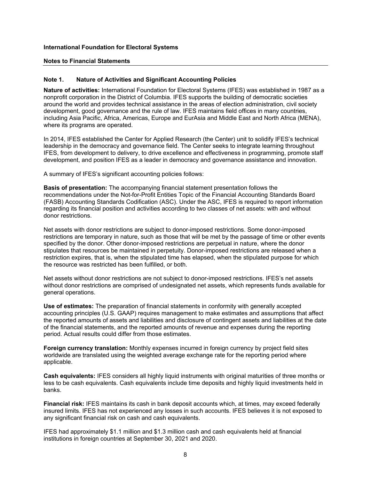#### **Notes to Financial Statements**

#### **Note 1. Nature of Activities and Significant Accounting Policies**

**Nature of activities:** International Foundation for Electoral Systems (IFES) was established in 1987 as a nonprofit corporation in the District of Columbia. IFES supports the building of democratic societies around the world and provides technical assistance in the areas of election administration, civil society development, good governance and the rule of law. IFES maintains field offices in many countries, including Asia Pacific, Africa, Americas, Europe and EurAsia and Middle East and North Africa (MENA), where its programs are operated.

In 2014, IFES established the Center for Applied Research (the Center) unit to solidify IFES's technical leadership in the democracy and governance field. The Center seeks to integrate learning throughout IFES, from development to delivery, to drive excellence and effectiveness in programming, promote staff development, and position IFES as a leader in democracy and governance assistance and innovation.

A summary of IFES's significant accounting policies follows:

**Basis of presentation:** The accompanying financial statement presentation follows the recommendations under the Not-for-Profit Entities Topic of the Financial Accounting Standards Board (FASB) Accounting Standards Codification (ASC). Under the ASC, IFES is required to report information regarding its financial position and activities according to two classes of net assets: with and without donor restrictions.

Net assets with donor restrictions are subject to donor-imposed restrictions. Some donor-imposed restrictions are temporary in nature, such as those that will be met by the passage of time or other events specified by the donor. Other donor-imposed restrictions are perpetual in nature, where the donor stipulates that resources be maintained in perpetuity. Donor-imposed restrictions are released when a restriction expires, that is, when the stipulated time has elapsed, when the stipulated purpose for which the resource was restricted has been fulfilled, or both.

Net assets without donor restrictions are not subject to donor-imposed restrictions. IFES's net assets without donor restrictions are comprised of undesignated net assets, which represents funds available for general operations.

**Use of estimates:** The preparation of financial statements in conformity with generally accepted accounting principles (U.S. GAAP) requires management to make estimates and assumptions that affect the reported amounts of assets and liabilities and disclosure of contingent assets and liabilities at the date of the financial statements, and the reported amounts of revenue and expenses during the reporting period. Actual results could differ from those estimates.

**Foreign currency translation:** Monthly expenses incurred in foreign currency by project field sites worldwide are translated using the weighted average exchange rate for the reporting period where applicable.

**Cash equivalents:** IFES considers all highly liquid instruments with original maturities of three months or less to be cash equivalents. Cash equivalents include time deposits and highly liquid investments held in banks.

**Financial risk:** IFES maintains its cash in bank deposit accounts which, at times, may exceed federally insured limits. IFES has not experienced any losses in such accounts. IFES believes it is not exposed to any significant financial risk on cash and cash equivalents.

IFES had approximately \$1.1 million and \$1.3 million cash and cash equivalents held at financial institutions in foreign countries at September 30, 2021 and 2020.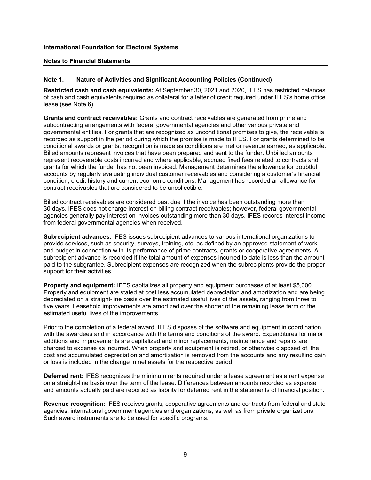#### **Notes to Financial Statements**

#### **Note 1. Nature of Activities and Significant Accounting Policies (Continued)**

**Restricted cash and cash equivalents:** At September 30, 2021 and 2020, IFES has restricted balances of cash and cash equivalents required as collateral for a letter of credit required under IFES's home office lease (see Note 6).

**Grants and contract receivables:** Grants and contract receivables are generated from prime and subcontracting arrangements with federal governmental agencies and other various private and governmental entities. For grants that are recognized as unconditional promises to give, the receivable is recorded as support in the period during which the promise is made to IFES. For grants determined to be conditional awards or grants, recognition is made as conditions are met or revenue earned, as applicable. Billed amounts represent invoices that have been prepared and sent to the funder. Unbilled amounts represent recoverable costs incurred and where applicable, accrued fixed fees related to contracts and grants for which the funder has not been invoiced. Management determines the allowance for doubtful accounts by regularly evaluating individual customer receivables and considering a customer's financial condition, credit history and current economic conditions. Management has recorded an allowance for contract receivables that are considered to be uncollectible.

Billed contract receivables are considered past due if the invoice has been outstanding more than 30 days. IFES does not charge interest on billing contract receivables; however, federal governmental agencies generally pay interest on invoices outstanding more than 30 days. IFES records interest income from federal governmental agencies when received.

**Subrecipient advances:** IFES issues subrecipient advances to various international organizations to provide services, such as security, surveys, training, etc. as defined by an approved statement of work and budget in connection with its performance of prime contracts, grants or cooperative agreements. A subrecipient advance is recorded if the total amount of expenses incurred to date is less than the amount paid to the subgrantee. Subrecipient expenses are recognized when the subrecipients provide the proper support for their activities.

**Property and equipment:** IFES capitalizes all property and equipment purchases of at least \$5,000. Property and equipment are stated at cost less accumulated depreciation and amortization and are being depreciated on a straight-line basis over the estimated useful lives of the assets, ranging from three to five years. Leasehold improvements are amortized over the shorter of the remaining lease term or the estimated useful lives of the improvements.

Prior to the completion of a federal award, IFES disposes of the software and equipment in coordination with the awardees and in accordance with the terms and conditions of the award. Expenditures for major additions and improvements are capitalized and minor replacements, maintenance and repairs are charged to expense as incurred. When property and equipment is retired, or otherwise disposed of, the cost and accumulated depreciation and amortization is removed from the accounts and any resulting gain or loss is included in the change in net assets for the respective period.

**Deferred rent:** IFES recognizes the minimum rents required under a lease agreement as a rent expense on a straight-line basis over the term of the lease. Differences between amounts recorded as expense and amounts actually paid are reported as liability for deferred rent in the statements of financial position.

**Revenue recognition:** IFES receives grants, cooperative agreements and contracts from federal and state agencies, international government agencies and organizations, as well as from private organizations. Such award instruments are to be used for specific programs.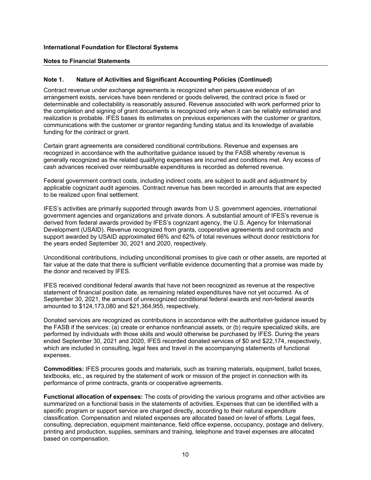#### **Notes to Financial Statements**

#### **Note 1. Nature of Activities and Significant Accounting Policies (Continued)**

Contract revenue under exchange agreements is recognized when persuasive evidence of an arrangement exists, services have been rendered or goods delivered, the contract price is fixed or determinable and collectability is reasonably assured. Revenue associated with work performed prior to the completion and signing of grant documents is recognized only when it can be reliably estimated and realization is probable. IFES bases its estimates on previous experiences with the customer or grantors, communications with the customer or grantor regarding funding status and its knowledge of available funding for the contract or grant.

Certain grant agreements are considered conditional contributions. Revenue and expenses are recognized in accordance with the authoritative guidance issued by the FASB whereby revenue is generally recognized as the related qualifying expenses are incurred and conditions met. Any excess of cash advances received over reimbursable expenditures is recorded as deferred revenue.

Federal government contract costs, including indirect costs, are subject to audit and adjustment by applicable cognizant audit agencies. Contract revenue has been recorded in amounts that are expected to be realized upon final settlement.

IFES's activities are primarily supported through awards from U.S. government agencies, international government agencies and organizations and private donors. A substantial amount of IFES's revenue is derived from federal awards provided by IFES's cognizant agency, the U.S. Agency for International Development (USAID). Revenue recognized from grants, cooperative agreements and contracts and support awarded by USAID approximated 66% and 62% of total revenues without donor restrictions for the years ended September 30, 2021 and 2020, respectively.

Unconditional contributions, including unconditional promises to give cash or other assets, are reported at fair value at the date that there is sufficient verifiable evidence documenting that a promise was made by the donor and received by IFES.

IFES received conditional federal awards that have not been recognized as revenue at the respective statement of financial position date, as remaining related expenditures have not yet occurred. As of September 30, 2021, the amount of unrecognized conditional federal awards and non-federal awards amounted to \$124,173,080 and \$21,364,955, respectively.

Donated services are recognized as contributions in accordance with the authoritative guidance issued by the FASB if the services: (a) create or enhance nonfinancial assets, or (b) require specialized skills, are performed by individuals with those skills and would otherwise be purchased by IFES. During the years ended September 30, 2021 and 2020, IFES recorded donated services of \$0 and \$22,174, respectively, which are included in consulting, legal fees and travel in the accompanying statements of functional expenses.

**Commodities:** IFES procures goods and materials, such as training materials, equipment, ballot boxes, textbooks, etc., as required by the statement of work or mission of the project in connection with its performance of prime contracts, grants or cooperative agreements.

**Functional allocation of expenses:** The costs of providing the various programs and other activities are summarized on a functional basis in the statements of activities. Expenses that can be identified with a specific program or support service are charged directly, according to their natural expenditure classification. Compensation and related expenses are allocated based on level of efforts. Legal fees, consulting, depreciation, equipment maintenance, field office expense, occupancy, postage and delivery, printing and production, supplies, seminars and training, telephone and travel expenses are allocated based on compensation.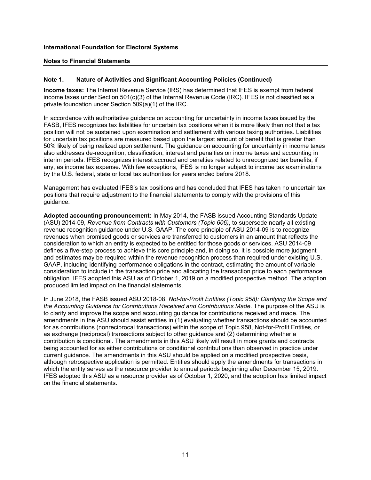#### **Notes to Financial Statements**

#### **Note 1. Nature of Activities and Significant Accounting Policies (Continued)**

**Income taxes:** The Internal Revenue Service (IRS) has determined that IFES is exempt from federal income taxes under Section 501(c)(3) of the Internal Revenue Code (IRC). IFES is not classified as a private foundation under Section 509(a)(1) of the IRC.

In accordance with authoritative guidance on accounting for uncertainty in income taxes issued by the FASB, IFES recognizes tax liabilities for uncertain tax positions when it is more likely than not that a tax position will not be sustained upon examination and settlement with various taxing authorities. Liabilities for uncertain tax positions are measured based upon the largest amount of benefit that is greater than 50% likely of being realized upon settlement. The guidance on accounting for uncertainty in income taxes also addresses de-recognition, classification, interest and penalties on income taxes and accounting in interim periods. IFES recognizes interest accrued and penalties related to unrecognized tax benefits, if any, as income tax expense. With few exceptions, IFES is no longer subject to income tax examinations by the U.S. federal, state or local tax authorities for years ended before 2018.

Management has evaluated IFES's tax positions and has concluded that IFES has taken no uncertain tax positions that require adjustment to the financial statements to comply with the provisions of this guidance.

**Adopted accounting pronouncement:** In May 2014, the FASB issued Accounting Standards Update (ASU) 2014-09, *Revenue from Contracts with Customers (Topic 606)*, to supersede nearly all existing revenue recognition guidance under U.S. GAAP. The core principle of ASU 2014-09 is to recognize revenues when promised goods or services are transferred to customers in an amount that reflects the consideration to which an entity is expected to be entitled for those goods or services. ASU 2014-09 defines a five-step process to achieve this core principle and, in doing so, it is possible more judgment and estimates may be required within the revenue recognition process than required under existing U.S. GAAP, including identifying performance obligations in the contract, estimating the amount of variable consideration to include in the transaction price and allocating the transaction price to each performance obligation. IFES adopted this ASU as of October 1, 2019 on a modified prospective method. The adoption produced limited impact on the financial statements.

In June 2018, the FASB issued ASU 2018-08, *Not-for-Profit Entities (Topic 958): Clarifying the Scope and the Accounting Guidance for Contributions Received and Contributions Made*. The purpose of the ASU is to clarify and improve the scope and accounting guidance for contributions received and made. The amendments in the ASU should assist entities in (1) evaluating whether transactions should be accounted for as contributions (nonreciprocal transactions) within the scope of Topic 958, Not-for-Profit Entities, or as exchange (reciprocal) transactions subject to other guidance and (2) determining whether a contribution is conditional. The amendments in this ASU likely will result in more grants and contracts being accounted for as either contributions or conditional contributions than observed in practice under current guidance. The amendments in this ASU should be applied on a modified prospective basis, although retrospective application is permitted. Entities should apply the amendments for transactions in which the entity serves as the resource provider to annual periods beginning after December 15, 2019. IFES adopted this ASU as a resource provider as of October 1, 2020, and the adoption has limited impact on the financial statements.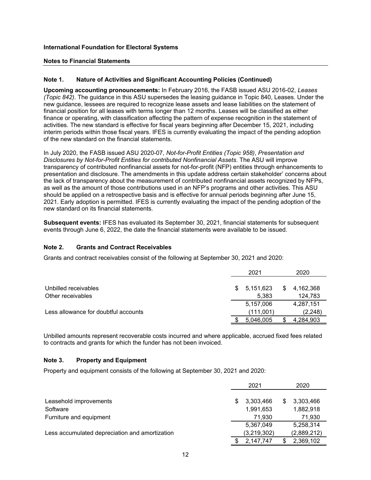#### **Notes to Financial Statements**

#### **Note 1. Nature of Activities and Significant Accounting Policies (Continued)**

**Upcoming accounting pronouncements:** In February 2016, the FASB issued ASU 2016-02, *Leases (Topic 842)*. The guidance in this ASU supersedes the leasing guidance in Topic 840, Leases. Under the new guidance, lessees are required to recognize lease assets and lease liabilities on the statement of financial position for all leases with terms longer than 12 months. Leases will be classified as either finance or operating, with classification affecting the pattern of expense recognition in the statement of activities. The new standard is effective for fiscal years beginning after December 15, 2021, including interim periods within those fiscal years. IFES is currently evaluating the impact of the pending adoption of the new standard on the financial statements.

In July 2020, the FASB issued ASU 2020-07, *Not-for-Profit Entities (Topic 958)*, *Presentation and Disclosures by Not-for-Profit Entities for contributed Nonfinancial Assets*. The ASU will improve transparency of contributed nonfinancial assets for not-for-profit (NFP) entities through enhancements to presentation and disclosure. The amendments in this update address certain stakeholder' concerns about the lack of transparency about the measurement of contributed nonfinancial assets recognized by NFPs, as well as the amount of those contributions used in an NFP's programs and other activities. This ASU should be applied on a retrospective basis and is effective for annual periods beginning after June 15, 2021. Early adoption is permitted. IFES is currently evaluating the impact of the pending adoption of the new standard on its financial statements.

**Subsequent events:** IFES has evaluated its September 30, 2021, financial statements for subsequent events through June 6, 2022, the date the financial statements were available to be issued.

#### **Note 2. Grants and Contract Receivables**

Grants and contract receivables consist of the following at September 30, 2021 and 2020:

|                                      | 2021            |   | 2020      |
|--------------------------------------|-----------------|---|-----------|
| Unbilled receivables                 | \$<br>5,151,623 | S | 4,162,368 |
| Other receivables                    | 5.383           |   | 124,783   |
|                                      | 5,157,006       |   | 4,287,151 |
| Less allowance for doubtful accounts | (111,001)       |   | (2, 248)  |
|                                      | 5,046,005       |   | 4,284,903 |

Unbilled amounts represent recoverable costs incurred and where applicable, accrued fixed fees related to contracts and grants for which the funder has not been invoiced.

#### **Note 3. Property and Equipment**

Property and equipment consists of the following at September 30, 2021 and 2020:

|                                                | 2021           | 2020            |
|------------------------------------------------|----------------|-----------------|
| Leasehold improvements                         | 3,303,466<br>S | 3,303,466<br>\$ |
| Software                                       | 1,991,653      | 1,882,918       |
| Furniture and equipment                        | 71.930         | 71,930          |
|                                                | 5,367,049      | 5,258,314       |
| Less accumulated depreciation and amortization | (3,219,302)    | (2,889,212)     |
|                                                | 2.147.747<br>S | 2,369,102       |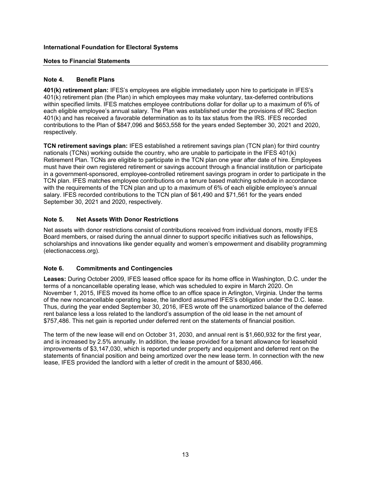#### **Notes to Financial Statements**

#### **Note 4. Benefit Plans**

**401(k) retirement plan:** IFES's employees are eligible immediately upon hire to participate in IFES's 401(k) retirement plan (the Plan) in which employees may make voluntary, tax-deferred contributions within specified limits. IFES matches employee contributions dollar for dollar up to a maximum of 6% of each eligible employee's annual salary. The Plan was established under the provisions of IRC Section 401(k) and has received a favorable determination as to its tax status from the IRS. IFES recorded contributions to the Plan of \$847,096 and \$653,558 for the years ended September 30, 2021 and 2020, respectively.

**TCN retirement savings plan:** IFES established a retirement savings plan (TCN plan) for third country nationals (TCNs) working outside the country, who are unable to participate in the IFES 401(k) Retirement Plan. TCNs are eligible to participate in the TCN plan one year after date of hire. Employees must have their own registered retirement or savings account through a financial institution or participate in a government-sponsored, employee-controlled retirement savings program in order to participate in the TCN plan. IFES matches employee contributions on a tenure based matching schedule in accordance with the requirements of the TCN plan and up to a maximum of 6% of each eligible employee's annual salary. IFES recorded contributions to the TCN plan of \$61,490 and \$71,561 for the years ended September 30, 2021 and 2020, respectively.

#### **Note 5. Net Assets With Donor Restrictions**

Net assets with donor restrictions consist of contributions received from individual donors, mostly IFES Board members, or raised during the annual dinner to support specific initiatives such as fellowships, scholarships and innovations like gender equality and women's empowerment and disability programming (electionaccess.org).

#### **Note 6. Commitments and Contingencies**

**Leases:** During October 2009, IFES leased office space for its home office in Washington, D.C. under the terms of a noncancellable operating lease, which was scheduled to expire in March 2020. On November 1, 2015, IFES moved its home office to an office space in Arlington, Virginia. Under the terms of the new noncancellable operating lease, the landlord assumed IFES's obligation under the D.C. lease. Thus, during the year ended September 30, 2016, IFES wrote off the unamortized balance of the deferred rent balance less a loss related to the landlord's assumption of the old lease in the net amount of \$757,486. This net gain is reported under deferred rent on the statements of financial position.

The term of the new lease will end on October 31, 2030, and annual rent is \$1,660,932 for the first year, and is increased by 2.5% annually. In addition, the lease provided for a tenant allowance for leasehold improvements of \$3,147,030, which is reported under property and equipment and deferred rent on the statements of financial position and being amortized over the new lease term. In connection with the new lease, IFES provided the landlord with a letter of credit in the amount of \$830,466.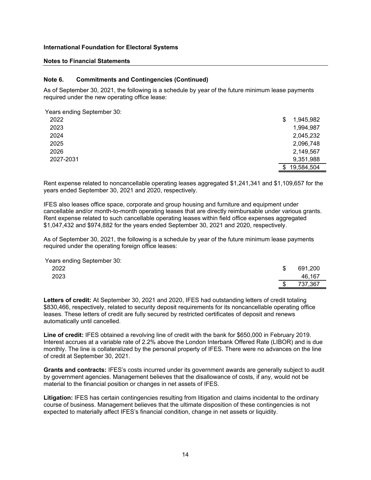#### **Notes to Financial Statements**

#### **Note 6. Commitments and Contingencies (Continued)**

As of September 30, 2021, the following is a schedule by year of the future minimum lease payments required under the new operating office lease:

Years ending September 30:

| 2022      | \$ | 1,945,982  |
|-----------|----|------------|
| 2023      |    | 1,994,987  |
| 2024      |    | 2,045,232  |
| 2025      |    | 2,096,748  |
| 2026      |    | 2,149,567  |
| 2027-2031 |    | 9,351,988  |
|           | S  | 19,584,504 |

Rent expense related to noncancellable operating leases aggregated \$1,241,341 and \$1,109,657 for the years ended September 30, 2021 and 2020, respectively.

IFES also leases office space, corporate and group housing and furniture and equipment under cancellable and/or month-to-month operating leases that are directly reimbursable under various grants. Rent expense related to such cancellable operating leases within field office expenses aggregated \$1,047,432 and \$974,882 for the years ended September 30, 2021 and 2020, respectively.

As of September 30, 2021, the following is a schedule by year of the future minimum lease payments required under the operating foreign office leases:

| Years ending September 30: |   |         |
|----------------------------|---|---------|
| 2022                       | S | 691,200 |
| 2023                       |   | 46,167  |
|                            |   | 737,367 |

**Letters of credit:** At September 30, 2021 and 2020, IFES had outstanding letters of credit totaling \$830,466, respectively, related to security deposit requirements for its noncancellable operating office leases. These letters of credit are fully secured by restricted certificates of deposit and renews automatically until cancelled.

**Line of credit:** IFES obtained a revolving line of credit with the bank for \$650,000 in February 2019. Interest accrues at a variable rate of 2.2% above the London Interbank Offered Rate (LIBOR) and is due monthly. The line is collateralized by the personal property of IFES. There were no advances on the line of credit at September 30, 2021.

**Grants and contracts:** IFES's costs incurred under its government awards are generally subject to audit by government agencies. Management believes that the disallowance of costs, if any, would not be material to the financial position or changes in net assets of IFES.

**Litigation:** IFES has certain contingencies resulting from litigation and claims incidental to the ordinary course of business. Management believes that the ultimate disposition of these contingencies is not expected to materially affect IFES's financial condition, change in net assets or liquidity.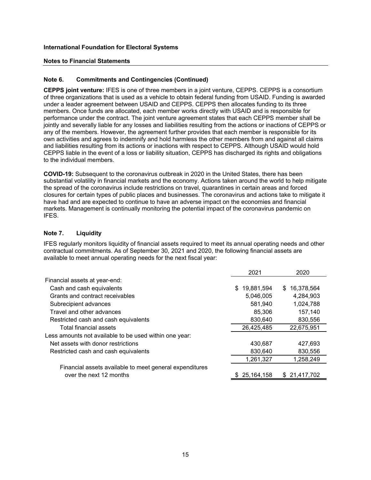#### **Notes to Financial Statements**

#### **Note 6. Commitments and Contingencies (Continued)**

**CEPPS joint venture:** IFES is one of three members in a joint venture, CEPPS. CEPPS is a consortium of three organizations that is used as a vehicle to obtain federal funding from USAID. Funding is awarded under a leader agreement between USAID and CEPPS. CEPPS then allocates funding to its three members. Once funds are allocated, each member works directly with USAID and is responsible for performance under the contract. The joint venture agreement states that each CEPPS member shall be jointly and severally liable for any losses and liabilities resulting from the actions or inactions of CEPPS or any of the members. However, the agreement further provides that each member is responsible for its own activities and agrees to indemnify and hold harmless the other members from and against all claims and liabilities resulting from its actions or inactions with respect to CEPPS. Although USAID would hold CEPPS liable in the event of a loss or liability situation, CEPPS has discharged its rights and obligations to the individual members.

**COVID-19:** Subsequent to the coronavirus outbreak in 2020 in the United States, there has been substantial volatility in financial markets and the economy. Actions taken around the world to help mitigate the spread of the coronavirus include restrictions on travel, quarantines in certain areas and forced closures for certain types of public places and businesses. The coronavirus and actions take to mitigate it have had and are expected to continue to have an adverse impact on the economies and financial markets. Management is continually monitoring the potential impact of the coronavirus pandemic on IFES.

#### **Note 7. Liquidity**

IFES regularly monitors liquidity of financial assets required to meet its annual operating needs and other contractual commitments. As of September 30, 2021 and 2020, the following financial assets are available to meet annual operating needs for the next fiscal year:

|                                                         | 2021              | 2020          |
|---------------------------------------------------------|-------------------|---------------|
| Financial assets at year-end:                           |                   |               |
| Cash and cash equivalents                               | 19,881,594<br>\$. | \$16,378,564  |
| Grants and contract receivables                         | 5,046,005         | 4,284,903     |
| Subrecipient advances                                   | 581,940           | 1,024,788     |
| Travel and other advances                               | 85,306            | 157,140       |
| Restricted cash and cash equivalents                    | 830,640           | 830,556       |
| Total financial assets                                  | 26,425,485        | 22,675,951    |
| Less amounts not available to be used within one year:  |                   |               |
| Net assets with donor restrictions                      | 430,687           | 427,693       |
| Restricted cash and cash equivalents                    | 830,640           | 830,556       |
|                                                         | 1,261,327         | 1,258,249     |
| Financial assets available to meet general expenditures |                   |               |
| over the next 12 months                                 | 25, 164, 158      | \$ 21,417,702 |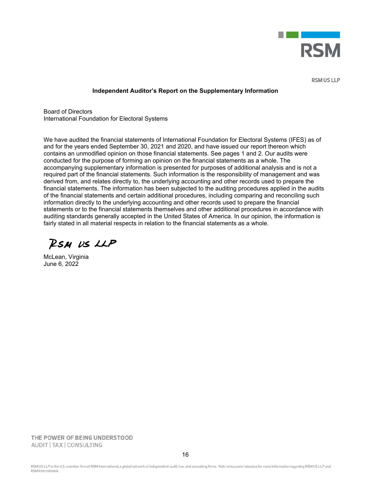

**RSM US LLP** 

#### **Independent Auditor's Report on the Supplementary Information**

Board of Directors International Foundation for Electoral Systems

We have audited the financial statements of International Foundation for Electoral Systems (IFES) as of and for the years ended September 30, 2021 and 2020, and have issued our report thereon which contains an unmodified opinion on those financial statements. See pages 1 and 2. Our audits were conducted for the purpose of forming an opinion on the financial statements as a whole. The accompanying supplementary information is presented for purposes of additional analysis and is not a required part of the financial statements. Such information is the responsibility of management and was derived from, and relates directly to, the underlying accounting and other records used to prepare the financial statements. The information has been subjected to the auditing procedures applied in the audits of the financial statements and certain additional procedures, including comparing and reconciling such information directly to the underlying accounting and other records used to prepare the financial statements or to the financial statements themselves and other additional procedures in accordance with auditing standards generally accepted in the United States of America. In our opinion, the information is fairly stated in all material respects in relation to the financial statements as a whole.

RSM US LLP

McLean, Virginia June 6, 2022

THE POWER OF BEING UNDERSTOOD AUDIT | TAX | CONSULTING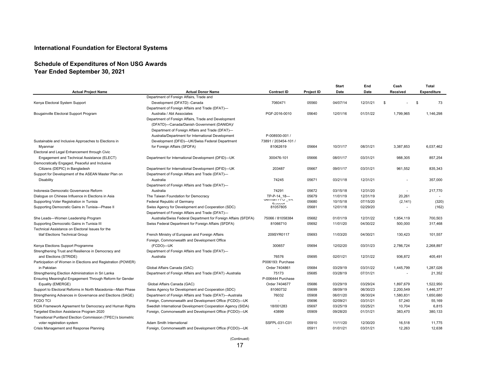# **Schedule of Expenditures of Non USG Awards Year Ended September 30, 2021**

|                                                              |                                                                |                          |                   | <b>Start</b> | End      | Cash      | Total       |  |
|--------------------------------------------------------------|----------------------------------------------------------------|--------------------------|-------------------|--------------|----------|-----------|-------------|--|
| <b>Actual Project Name</b>                                   | <b>Actual Donor Name</b>                                       | <b>Contract ID</b>       | <b>Project ID</b> | Date         | Date     | Received  | Expenditure |  |
|                                                              | Department of Foreign Affairs, Trade and                       |                          |                   |              |          |           |             |  |
| Kenya Electoral System Support                               | Development (DFATD) -Canada                                    | 7060471                  | 05560             | 04/07/14     | 12/31/21 | - \$      | S.<br>73    |  |
|                                                              | Department of Foreign Affairs and Trade (DFAT)-                |                          |                   |              |          |           |             |  |
| Bougainville Electoral Support Program                       | Australia / Abt Associates                                     | PGF-2016-0010            | 05640             | 12/01/16     | 01/31/22 | 1,799,965 | 1,146,298   |  |
|                                                              | Department of Foreign Affairs, Trade and Development           |                          |                   |              |          |           |             |  |
|                                                              | (DFATD)-Canada/Danish Government (DANIDA)/                     |                          |                   |              |          |           |             |  |
|                                                              | Department of Foreign Affairs and Trade (DFAT)-                |                          |                   |              |          |           |             |  |
|                                                              | Australia/Department for International Development             | P-008930-001 /           |                   |              |          |           |             |  |
| Sustainable and Inclusive Approaches to Elections in         | Development (DFID)-UK/Swiss Federal Department                 | 73891 / 203454-101 /     |                   |              |          |           |             |  |
| Myanmar                                                      | for Foreign Affairs (SFDFA)                                    | 81062619                 | 05664             | 10/31/17     | 08/31/21 | 3,387,853 | 6,037,462   |  |
| Electoral and Legal Enhancement through Civic                |                                                                |                          |                   |              |          |           |             |  |
| Engagement and Technical Assistance (ELECT)                  | Department for International Development (DFID)-UK             | 300476-101               | 05666             | 08/01/17     | 03/31/21 | 988,305   | 857,254     |  |
| Democratically Engaged, Peaceful and Inclusive               |                                                                |                          |                   |              |          |           |             |  |
| Citizens (DEPIC) in Bangladesh                               | Department for International Development (DFID)-UK             | 203487                   | 05667             | 09/01/17     | 03/31/21 | 961,552   | 835,343     |  |
| Support for Development of the ASEAN Master Plan on          | Department of Foreign Affairs and Trade (DFAT)-                |                          |                   |              |          |           |             |  |
| Disability                                                   | Australia                                                      | 74245                    | 05671             | 03/21/18     | 12/31/21 |           | 357,000     |  |
|                                                              | Department of Foreign Affairs and Trade (DFAT)-                |                          |                   |              |          |           |             |  |
| Indonesia Democratic Governance Reform                       | Australia                                                      | 74291                    | 05672             | 03/15/18     | 12/31/20 | ÷,        | 217.770     |  |
| Dialogue on Chinese Influence in Elections in Asia           | The Taiwan Foundation for Democracy                            | TP-P-14 18-              | 05679             | 11/01/19     | 12/31/19 | 20,261    |             |  |
| Supporting Voter Registration in Tunisia                     | Federal Republic of Germany                                    | German FFU VR<br>Sunnort | 05680             | 10/15/18     | 07/15/20 | (2, 141)  | (320)       |  |
| Supporting Democratic Gains in Tunisia-Phase II              | Swiss Agency for Development and Cooperation (SDC)             | 81057805                 | 05681             | 12/01/18     | 02/29/20 | $\sim$    | (162)       |  |
|                                                              | Department of Foreign Affairs and Trade (DFAT)-                |                          |                   |              |          |           |             |  |
| She Leads-Women Leadership Program                           | Australia/Swiss Federal Department for Foreign Affairs (SFDFA) | 75066 / 81058384         | 05682             | 01/01/19     | 12/31/22 | 1,954,119 | 700,503     |  |
| Supporting Democratic Gains in Tunisia III                   | Swiss Federal Department for Foreign Affairs (SFDFA)           | 81066710                 | 05692             | 11/01/20     | 04/30/22 | 500,000   | 317,468     |  |
| Technical Assistance on Electoral Issues for the             |                                                                |                          |                   |              |          |           |             |  |
| tilaf Elections Technical Group                              | French Ministry of European and Foreign Affairs                | 209SYR0117               | 05693             | 11/03/20     | 04/30/21 | 130,423   | 101,557     |  |
|                                                              | Foreign, Commonwealth and Development Office                   |                          |                   |              |          |           |             |  |
| Kenya Elections Support Programme                            | (FCDO)-UK                                                      | 300657                   | 05694             | 12/02/20     | 03/31/23 | 2,786,724 | 2,268,897   |  |
| Strengthening Trust and Resilience in Democracy and          | Department of Foreign Affairs and Trade (DFAT)-                |                          |                   |              |          |           |             |  |
| and Elections (STRIDE)                                       | Australia                                                      | 76576                    | 05695             | 02/01/21     | 12/31/22 | 936,872   | 405,491     |  |
| Participation of Women in Elections and Registration (POWER) |                                                                | P006193: Purchase        |                   |              |          |           |             |  |
| in Pakistan                                                  | Global Affairs Canada (GAC)                                    | Order 7404861            | 05684             | 03/29/19     | 03/31/22 | 1,445,799 | 1,287,026   |  |
| Strengthening Election Administration in Sri Lanka           | Department of Foreign Affairs and Trade (DFAT) -Australia      | 75173                    | 05685             | 03/28/19     | 07/31/21 | $\sim$    | 21,352      |  |
| Ensuring Meaningful Engagement Through Reform for Gender     |                                                                | P-006444 Purchase        |                   |              |          |           |             |  |
| Equality (EMERGE)                                            | Global Affairs Canada (GAC)                                    | Order 7404677            | 05686             | 03/29/19     | 03/29/24 | 1,897,679 | 1,522,950   |  |
| Support to Electoral Reforms in North Macedonia-Main Phase   | Swiss Agency for Development and Cooperation (SDC)             | 81060732                 | 05699             | 08/09/19     | 06/30/23 | 2,200,549 | 1,446,377   |  |
| Strengthening Advances in Governance and Elections (SAGE)    | Department of Foreign Affairs and Trade (DFAT)-Australia       | 76032                    | 05908             | 06/01/20     | 06/30/24 | 1,580,831 | 1,650,680   |  |
| <b>FCDO TCI</b>                                              | Foreign, Commonwealth and Development Office (FCDO)-UK         |                          | 05696             | 02/09/21     | 03/31/21 | 57,240    | 55,169      |  |
| SIDA Framework Agreement for Democracy and Human Rights      | Swedish International Development Cooperation Agency (SIDA)    | 18/001283                | 05697             | 03/25/19     | 03/25/21 | 10,704    | 6,815       |  |
| Targeted Election Assistance Program 2020                    | Foreign, Commonwealth and Development Office (FCDO)-UK         | 43899                    | 05909             | 09/28/20     | 01/31/21 | 383,470   | 380,133     |  |
| Transitional Puntland Election Commission (TPEC)'s biometric |                                                                |                          |                   |              |          |           |             |  |
| voter registration system                                    | Adam Smith International                                       | SSFPL-031-C01            | 05910             | 11/11/20     | 12/30/20 | 16,518    | 11,775      |  |
| Crisis Management and Response Planning                      | Foreign, Commonwealth and Development Office (FCDO)-UK         |                          | 05911             | 01/01/21     | 03/31/21 | 12.263    | 12,638      |  |